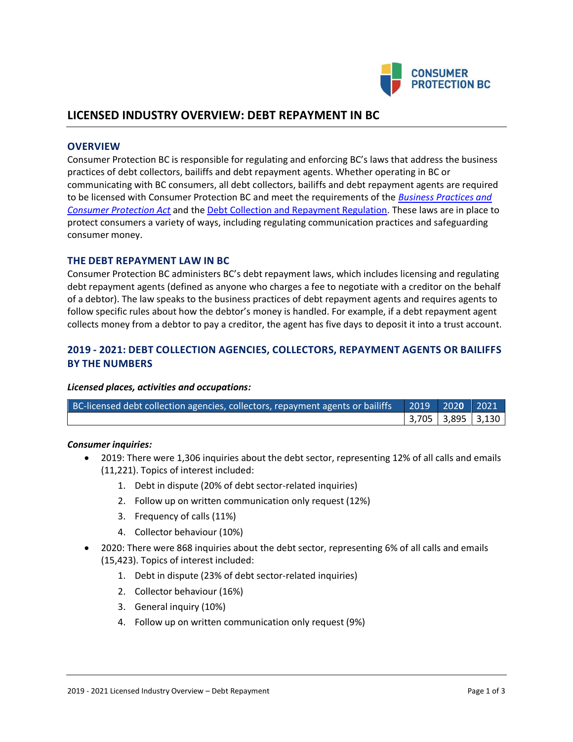

# **LICENSED INDUSTRY OVERVIEW: DEBT REPAYMENT IN BC**

### **OVERVIEW**

Consumer Protection BC is responsible for regulating and enforcing BC's laws that address the business practices of debt collectors, bailiffs and debt repayment agents. Whether operating in BC or communicating with BC consumers, all debt collectors, bailiffs and debt repayment agents are required to be licensed with Consumer Protection BC and meet the requirements of the *[Business Practices and](http://www.bclaws.ca/EPLibraries/bclaws_new/document/ID/freeside/04002_00)  [Consumer Protection Act](http://www.bclaws.ca/EPLibraries/bclaws_new/document/ID/freeside/04002_00)* and th[e Debt Collection and Repayment Regulation.](http://www.bclaws.ca/EPLibraries/bclaws_new/document/ID/freeside/12_295_2004) These laws are in place to protect consumers a variety of ways, including regulating communication practices and safeguarding consumer money.

#### **THE DEBT REPAYMENT LAW IN BC**

Consumer Protection BC administers BC's debt repayment laws, which includes licensing and regulating debt repayment agents (defined as anyone who charges a fee to negotiate with a creditor on the behalf of a debtor). The law speaks to the business practices of debt repayment agents and requires agents to follow specific rules about how the debtor's money is handled. For example, if a debt repayment agent collects money from a debtor to pay a creditor, the agent has five days to deposit it into a trust account.

## **2019 - 2021: DEBT COLLECTION AGENCIES, COLLECTORS, REPAYMENT AGENTS OR BAILIFFS BY THE NUMBERS**

#### *Licensed places, activities and occupations:*

| BC-licensed debt collection agencies, collectors, repayment agents or bailiffs   2019   2020   2021 \ |  |                   |
|-------------------------------------------------------------------------------------------------------|--|-------------------|
|                                                                                                       |  | 3,705 3,895 3,130 |

#### *Consumer inquiries:*

- 2019: There were 1,306 inquiries about the debt sector, representing 12% of all calls and emails (11,221). Topics of interest included:
	- 1. Debt in dispute (20% of debt sector-related inquiries)
	- 2. Follow up on written communication only request (12%)
	- 3. Frequency of calls (11%)
	- 4. Collector behaviour (10%)
- 2020: There were 868 inquiries about the debt sector, representing 6% of all calls and emails (15,423). Topics of interest included:
	- 1. Debt in dispute (23% of debt sector-related inquiries)
	- 2. Collector behaviour (16%)
	- 3. General inquiry (10%)
	- 4. Follow up on written communication only request (9%)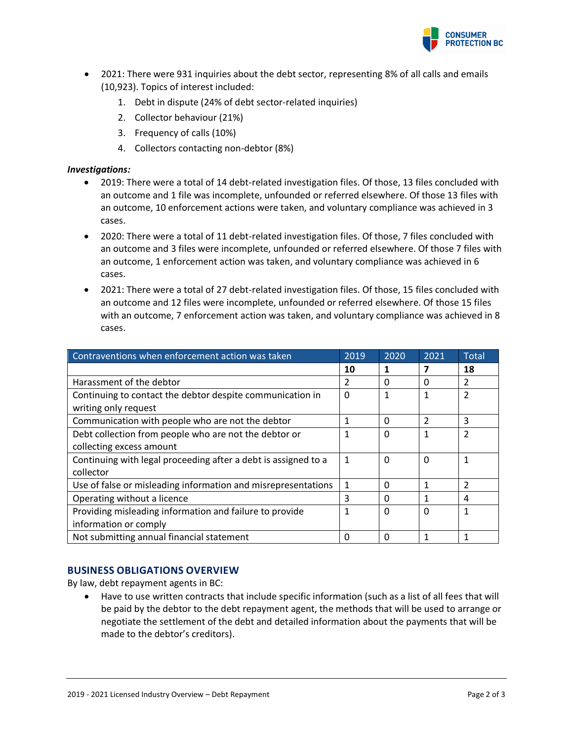

- 2021: There were 931 inquiries about the debt sector, representing 8% of all calls and emails (10,923). Topics of interest included:
	- 1. Debt in dispute (24% of debt sector-related inquiries)
	- 2. Collector behaviour (21%)
	- 3. Frequency of calls (10%)
	- 4. Collectors contacting non-debtor (8%)

#### *Investigations:*

- 2019: There were a total of 14 debt-related investigation files. Of those, 13 files concluded with an outcome and 1 file was incomplete, unfounded or referred elsewhere. Of those 13 files with an outcome, 10 enforcement actions were taken, and voluntary compliance was achieved in 3 cases.
- 2020: There were a total of 11 debt-related investigation files. Of those, 7 files concluded with an outcome and 3 files were incomplete, unfounded or referred elsewhere. Of those 7 files with an outcome, 1 enforcement action was taken, and voluntary compliance was achieved in 6 cases.
- 2021: There were a total of 27 debt-related investigation files. Of those, 15 files concluded with an outcome and 12 files were incomplete, unfounded or referred elsewhere. Of those 15 files with an outcome, 7 enforcement action was taken, and voluntary compliance was achieved in 8 cases.

| Contraventions when enforcement action was taken                                  | 2019 | 2020     | 2021           | <b>Total</b>   |
|-----------------------------------------------------------------------------------|------|----------|----------------|----------------|
|                                                                                   | 10   |          |                | 18             |
| Harassment of the debtor                                                          | 2    | $\Omega$ | 0              | 2              |
| Continuing to contact the debtor despite communication in<br>writing only request | 0    | 1        |                | 2              |
| Communication with people who are not the debtor                                  | 1    | 0        | $\mathfrak{p}$ | 3              |
| Debt collection from people who are not the debtor or                             | 1    | $\Omega$ |                | $\mathcal{P}$  |
| collecting excess amount                                                          |      |          |                |                |
| Continuing with legal proceeding after a debt is assigned to a                    | 1    | $\Omega$ | 0              |                |
| collector                                                                         |      |          |                |                |
| Use of false or misleading information and misrepresentations                     | 1    | $\Omega$ | 1              | $\mathfrak{p}$ |
| Operating without a licence                                                       | 3    | $\Omega$ |                | 4              |
| Providing misleading information and failure to provide                           | 1    | $\Omega$ | $\Omega$       |                |
| information or comply                                                             |      |          |                |                |
| Not submitting annual financial statement                                         | 0    | 0        |                |                |

## **BUSINESS OBLIGATIONS OVERVIEW**

By law, debt repayment agents in BC:

• Have to use written contracts that include specific information (such as a list of all fees that will be paid by the debtor to the debt repayment agent, the methods that will be used to arrange or negotiate the settlement of the debt and detailed information about the payments that will be made to the debtor's creditors).